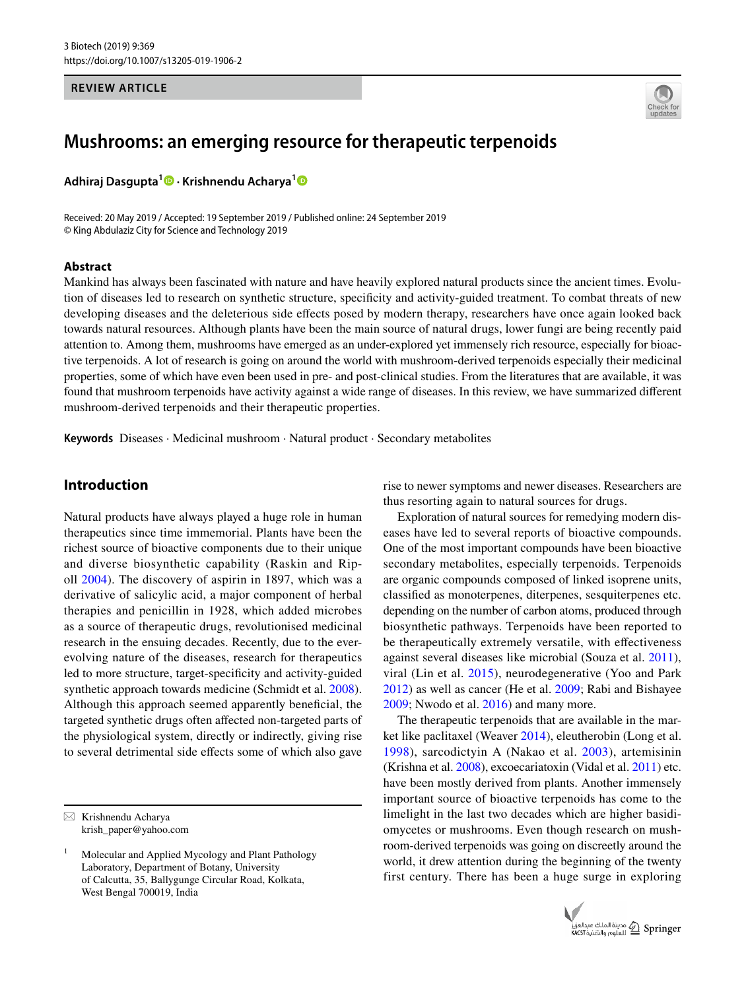#### **REVIEW ARTICLE**



# **Mushrooms: an emerging resource for therapeutic terpenoids**

**Adhiraj Dasgupta<sup>1</sup> · Krishnendu Acharya[1](http://orcid.org/0000-0003-1193-1823)**

Received: 20 May 2019 / Accepted: 19 September 2019 / Published online: 24 September 2019 © King Abdulaziz City for Science and Technology 2019

#### **Abstract**

Mankind has always been fascinated with nature and have heavily explored natural products since the ancient times. Evolution of diseases led to research on synthetic structure, specificity and activity-guided treatment. To combat threats of new developing diseases and the deleterious side effects posed by modern therapy, researchers have once again looked back towards natural resources. Although plants have been the main source of natural drugs, lower fungi are being recently paid attention to. Among them, mushrooms have emerged as an under-explored yet immensely rich resource, especially for bioactive terpenoids. A lot of research is going on around the world with mushroom-derived terpenoids especially their medicinal properties, some of which have even been used in pre- and post-clinical studies. From the literatures that are available, it was found that mushroom terpenoids have activity against a wide range of diseases. In this review, we have summarized different mushroom-derived terpenoids and their therapeutic properties.

**Keywords** Diseases · Medicinal mushroom · Natural product · Secondary metabolites

# **Introduction**

Natural products have always played a huge role in human therapeutics since time immemorial. Plants have been the richest source of bioactive components due to their unique and diverse biosynthetic capability (Raskin and Ripoll [2004\)](#page-12-0). The discovery of aspirin in 1897, which was a derivative of salicylic acid, a major component of herbal therapies and penicillin in 1928, which added microbes as a source of therapeutic drugs, revolutionised medicinal research in the ensuing decades. Recently, due to the everevolving nature of the diseases, research for therapeutics led to more structure, target-specificity and activity-guided synthetic approach towards medicine (Schmidt et al. [2008](#page-12-1)). Although this approach seemed apparently beneficial, the targeted synthetic drugs often affected non-targeted parts of the physiological system, directly or indirectly, giving rise to several detrimental side effects some of which also gave rise to newer symptoms and newer diseases. Researchers are thus resorting again to natural sources for drugs.

Exploration of natural sources for remedying modern diseases have led to several reports of bioactive compounds. One of the most important compounds have been bioactive secondary metabolites, especially terpenoids. Terpenoids are organic compounds composed of linked isoprene units, classified as monoterpenes, diterpenes, sesquiterpenes etc. depending on the number of carbon atoms, produced through biosynthetic pathways. Terpenoids have been reported to be therapeutically extremely versatile, with effectiveness against several diseases like microbial (Souza et al. [2011](#page-12-2)), viral (Lin et al. [2015\)](#page-11-0), neurodegenerative (Yoo and Park [2012](#page-13-0)) as well as cancer (He et al. [2009](#page-10-0); Rabi and Bishayee [2009](#page-12-3); Nwodo et al. [2016\)](#page-11-1) and many more.

The therapeutic terpenoids that are available in the market like paclitaxel (Weaver [2014](#page-12-4)), eleutherobin (Long et al. [1998](#page-11-2)), sarcodictyin A (Nakao et al. [2003](#page-11-3)), artemisinin (Krishna et al. [2008](#page-11-4)), excoecariatoxin (Vidal et al. [2011\)](#page-12-5) etc. have been mostly derived from plants. Another immensely important source of bioactive terpenoids has come to the limelight in the last two decades which are higher basidiomycetes or mushrooms. Even though research on mushroom-derived terpenoids was going on discreetly around the world, it drew attention during the beginning of the twenty first century. There has been a huge surge in exploring



 $\boxtimes$  Krishnendu Acharya krish\_paper@yahoo.com

<sup>1</sup> Molecular and Applied Mycology and Plant Pathology Laboratory, Department of Botany, University of Calcutta, 35, Ballygunge Circular Road, Kolkata, West Bengal 700019, India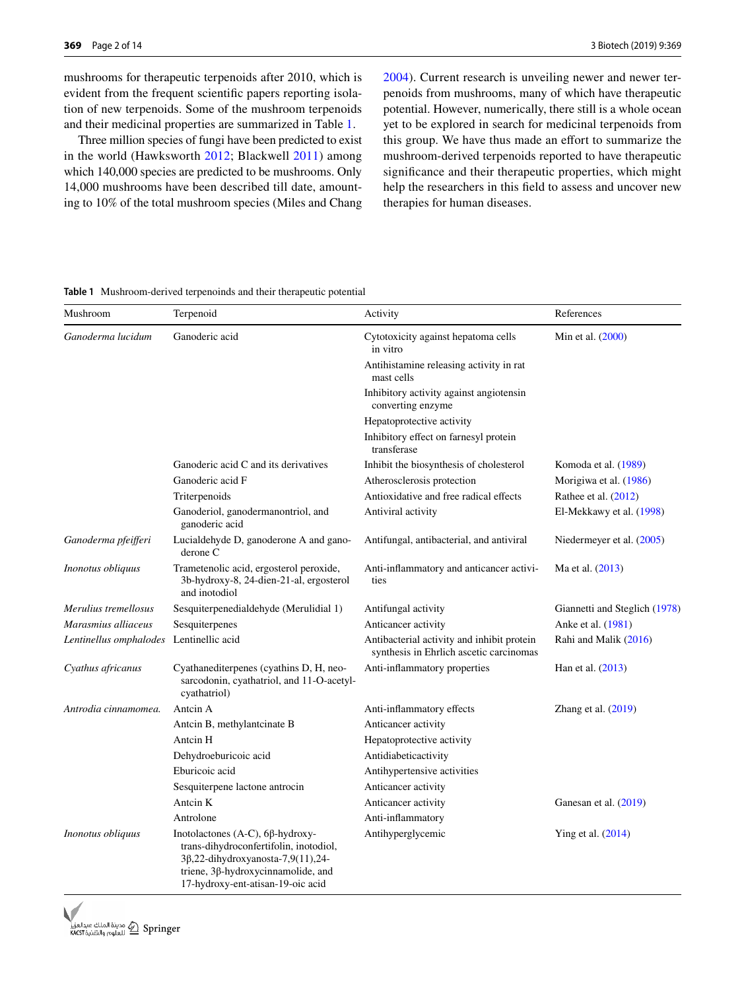mushrooms for therapeutic terpenoids after 2010, which is evident from the frequent scientific papers reporting isolation of new terpenoids. Some of the mushroom terpenoids and their medicinal properties are summarized in Table [1.](#page-1-0)

Three million species of fungi have been predicted to exist in the world (Hawksworth [2012;](#page-10-1) Blackwell [2011\)](#page-10-2) among which 140,000 species are predicted to be mushrooms. Only 14,000 mushrooms have been described till date, amounting to 10% of the total mushroom species (Miles and Chang [2004\)](#page-11-5). Current research is unveiling newer and newer terpenoids from mushrooms, many of which have therapeutic potential. However, numerically, there still is a whole ocean yet to be explored in search for medicinal terpenoids from this group. We have thus made an effort to summarize the mushroom-derived terpenoids reported to have therapeutic significance and their therapeutic properties, which might help the researchers in this field to assess and uncover new therapies for human diseases.

<span id="page-1-0"></span>**Table 1** Mushroom-derived terpenoinds and their therapeutic potential

| Mushroom                                | Terpenoid                                                                                                                                                                                         | Activity                                                                              | References                    |
|-----------------------------------------|---------------------------------------------------------------------------------------------------------------------------------------------------------------------------------------------------|---------------------------------------------------------------------------------------|-------------------------------|
| Ganoderma lucidum                       | Ganoderic acid                                                                                                                                                                                    | Cytotoxicity against hepatoma cells<br>in vitro                                       | Min et al. (2000)             |
|                                         |                                                                                                                                                                                                   | Antihistamine releasing activity in rat<br>mast cells                                 |                               |
|                                         |                                                                                                                                                                                                   | Inhibitory activity against angiotensin<br>converting enzyme                          |                               |
|                                         |                                                                                                                                                                                                   | Hepatoprotective activity                                                             |                               |
|                                         |                                                                                                                                                                                                   | Inhibitory effect on farnesyl protein<br>transferase                                  |                               |
|                                         | Ganoderic acid C and its derivatives                                                                                                                                                              | Inhibit the biosynthesis of cholesterol                                               | Komoda et al. (1989)          |
|                                         | Ganoderic acid F                                                                                                                                                                                  | Atherosclerosis protection                                                            | Morigiwa et al. (1986)        |
|                                         | Triterpenoids                                                                                                                                                                                     | Antioxidative and free radical effects                                                | Rathee et al. $(2012)$        |
|                                         | Ganoderiol, ganodermanontriol, and<br>ganoderic acid                                                                                                                                              | Antiviral activity                                                                    | El-Mekkawy et al. (1998)      |
| Ganoderma pfeifferi                     | Lucialdehyde D, ganoderone A and gano-<br>derone C                                                                                                                                                | Antifungal, antibacterial, and antiviral                                              | Niedermeyer et al. (2005)     |
| <i>Inonotus obliquus</i>                | Trametenolic acid, ergosterol peroxide,<br>3b-hydroxy-8, 24-dien-21-al, ergosterol<br>and inotodiol                                                                                               | Anti-inflammatory and anticancer activi-<br>ties                                      | Ma et al. (2013)              |
| Merulius tremellosus                    | Sesquiterpenedialdehyde (Merulidial 1)                                                                                                                                                            | Antifungal activity                                                                   | Giannetti and Steglich (1978) |
| Marasmius alliaceus                     | Sesquiterpenes                                                                                                                                                                                    | Anticancer activity                                                                   | Anke et al. (1981)            |
| Lentinellus omphalodes Lentinellic acid |                                                                                                                                                                                                   | Antibacterial activity and inhibit protein<br>synthesis in Ehrlich ascetic carcinomas | Rahi and Malik (2016)         |
| Cyathus africanus                       | Cyathanediterpenes (cyathins D, H, neo-<br>sarcodonin, cyathatriol, and 11-O-acetyl-<br>cyathatriol)                                                                                              | Anti-inflammatory properties                                                          | Han et al. (2013)             |
| Antrodia cinnamomea.                    | Antein A                                                                                                                                                                                          | Anti-inflammatory effects                                                             | Zhang et al. $(2019)$         |
|                                         | Antcin B, methylantcinate B                                                                                                                                                                       | Anticancer activity                                                                   |                               |
|                                         | Antcin H                                                                                                                                                                                          | Hepatoprotective activity                                                             |                               |
|                                         | Dehydroeburicoic acid                                                                                                                                                                             | Antidiabeticactivity                                                                  |                               |
|                                         | Eburicoic acid                                                                                                                                                                                    | Antihypertensive activities                                                           |                               |
|                                         | Sesquiterpene lactone antrocin                                                                                                                                                                    | Anticancer activity                                                                   |                               |
|                                         | Antein K                                                                                                                                                                                          | Anticancer activity                                                                   | Ganesan et al. (2019)         |
|                                         | Antrolone                                                                                                                                                                                         | Anti-inflammatory                                                                     |                               |
| <i>Inonotus obliquus</i>                | Inotolactones (A-C), 6β-hydroxy-<br>trans-dihydroconfertifolin, inotodiol,<br>$3\beta$ ,22-dihydroxyanosta-7,9(11),24-<br>triene, 3β-hydroxycinnamolide, and<br>17-hydroxy-ent-atisan-19-oic acid | Antihyperglycemic                                                                     | Ying et al. $(2014)$          |

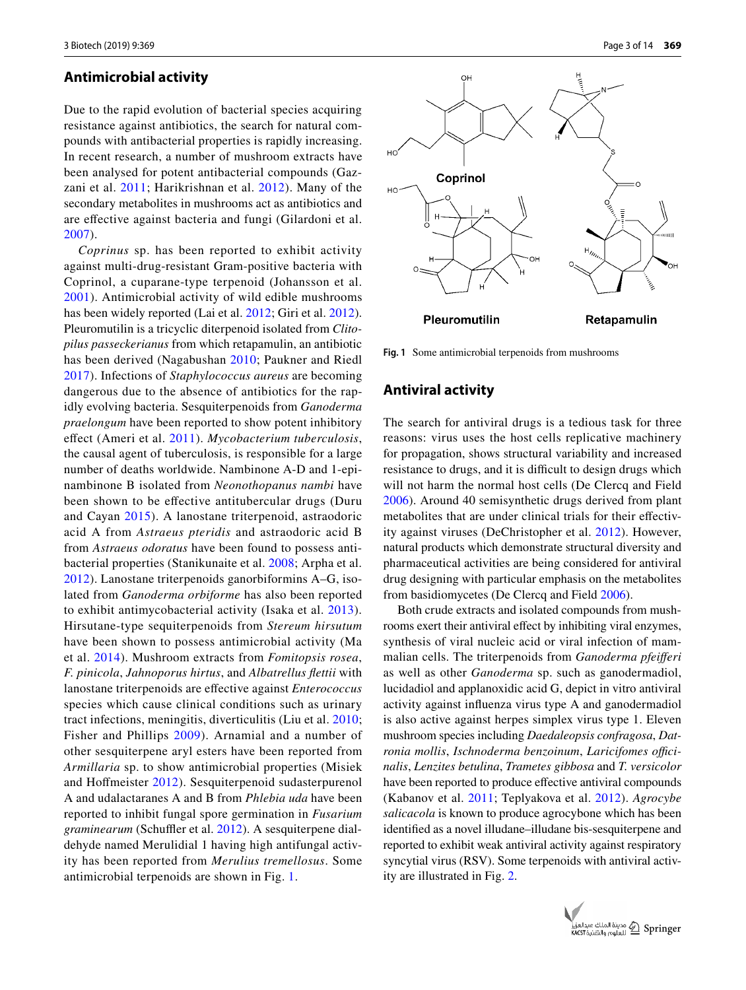#### **Antimicrobial activity**

Due to the rapid evolution of bacterial species acquiring resistance against antibiotics, the search for natural compounds with antibacterial properties is rapidly increasing. In recent research, a number of mushroom extracts have been analysed for potent antibacterial compounds (Gazzani et al. [2011](#page-10-8); Harikrishnan et al. [2012\)](#page-10-9). Many of the secondary metabolites in mushrooms act as antibiotics and are effective against bacteria and fungi (Gilardoni et al. [2007\)](#page-10-10).

*Coprinus* sp. has been reported to exhibit activity against multi-drug-resistant Gram-positive bacteria with Coprinol, a cuparane-type terpenoid (Johansson et al. [2001\)](#page-10-11). Antimicrobial activity of wild edible mushrooms has been widely reported (Lai et al. [2012;](#page-11-11) Giri et al. [2012](#page-10-12)). Pleuromutilin is a tricyclic diterpenoid isolated from *Clitopilus passeckerianus* from which retapamulin, an antibiotic has been derived (Nagabushan [2010;](#page-11-12) Paukner and Riedl [2017\)](#page-12-8). Infections of *Staphylococcus aureus* are becoming dangerous due to the absence of antibiotics for the rapidly evolving bacteria. Sesquiterpenoids from *Ganoderma praelongum* have been reported to show potent inhibitory effect (Ameri et al. [2011](#page-9-0)). *Mycobacterium tuberculosis*, the causal agent of tuberculosis, is responsible for a large number of deaths worldwide. Nambinone A-D and 1-epinambinone B isolated from *Neonothopanus nambi* have been shown to be effective antitubercular drugs (Duru and Cayan [2015\)](#page-10-13). A lanostane triterpenoid, astraodoric acid A from *Astraeus pteridis* and astraodoric acid B from *Astraeus odoratus* have been found to possess antibacterial properties (Stanikunaite et al. [2008](#page-12-9); Arpha et al. [2012\)](#page-10-14). Lanostane triterpenoids ganorbiformins A–G, isolated from *Ganoderma orbiforme* has also been reported to exhibit antimycobacterial activity (Isaka et al. [2013\)](#page-10-15). Hirsutane-type sequiterpenoids from *Stereum hirsutum* have been shown to possess antimicrobial activity (Ma et al. [2014](#page-11-13)). Mushroom extracts from *Fomitopsis rosea*, *F. pinicola*, *Jahnoporus hirtus*, and *Albatrellus flettii* with lanostane triterpenoids are effective against *Enterococcus* species which cause clinical conditions such as urinary tract infections, meningitis, diverticulitis (Liu et al. [2010](#page-11-14); Fisher and Phillips [2009\)](#page-10-16). Arnamial and a number of other sesquiterpene aryl esters have been reported from *Armillaria* sp. to show antimicrobial properties (Misiek and Hoffmeister [2012\)](#page-11-15). Sesquiterpenoid sudasterpurenol A and udalactaranes A and B from *Phlebia uda* have been reported to inhibit fungal spore germination in *Fusarium graminearum* (Schuffler et al. [2012\)](#page-12-10). A sesquiterpene dialdehyde named Merulidial 1 having high antifungal activity has been reported from *Merulius tremellosus*. Some antimicrobial terpenoids are shown in Fig. [1](#page-2-0).



<span id="page-2-0"></span>**Fig. 1** Some antimicrobial terpenoids from mushrooms

## **Antiviral activity**

The search for antiviral drugs is a tedious task for three reasons: virus uses the host cells replicative machinery for propagation, shows structural variability and increased resistance to drugs, and it is difficult to design drugs which will not harm the normal host cells (De Clercq and Field [2006\)](#page-10-17). Around 40 semisynthetic drugs derived from plant metabolites that are under clinical trials for their effectivity against viruses (DeChristopher et al. [2012](#page-10-18)). However, natural products which demonstrate structural diversity and pharmaceutical activities are being considered for antiviral drug designing with particular emphasis on the metabolites from basidiomycetes (De Clercq and Field [2006\)](#page-10-17).

Both crude extracts and isolated compounds from mushrooms exert their antiviral effect by inhibiting viral enzymes, synthesis of viral nucleic acid or viral infection of mammalian cells. The triterpenoids from *Ganoderma pfeifferi* as well as other *Ganoderma* sp. such as ganodermadiol, lucidadiol and applanoxidic acid G, depict in vitro antiviral activity against influenza virus type A and ganodermadiol is also active against herpes simplex virus type 1. Eleven mushroom species including *Daedaleopsis confragosa*, *Datronia mollis*, *Ischnoderma benzoinum*, *Laricifomes officinalis*, *Lenzites betulina*, *Trametes gibbosa* and *T. versicolor* have been reported to produce effective antiviral compounds (Kabanov et al. [2011;](#page-10-19) Teplyakova et al. [2012](#page-12-11)). *Agrocybe salicacola* is known to produce agrocybone which has been identified as a novel illudane–illudane bis-sesquiterpene and reported to exhibit weak antiviral activity against respiratory syncytial virus (RSV). Some terpenoids with antiviral activity are illustrated in Fig. [2.](#page-3-0)

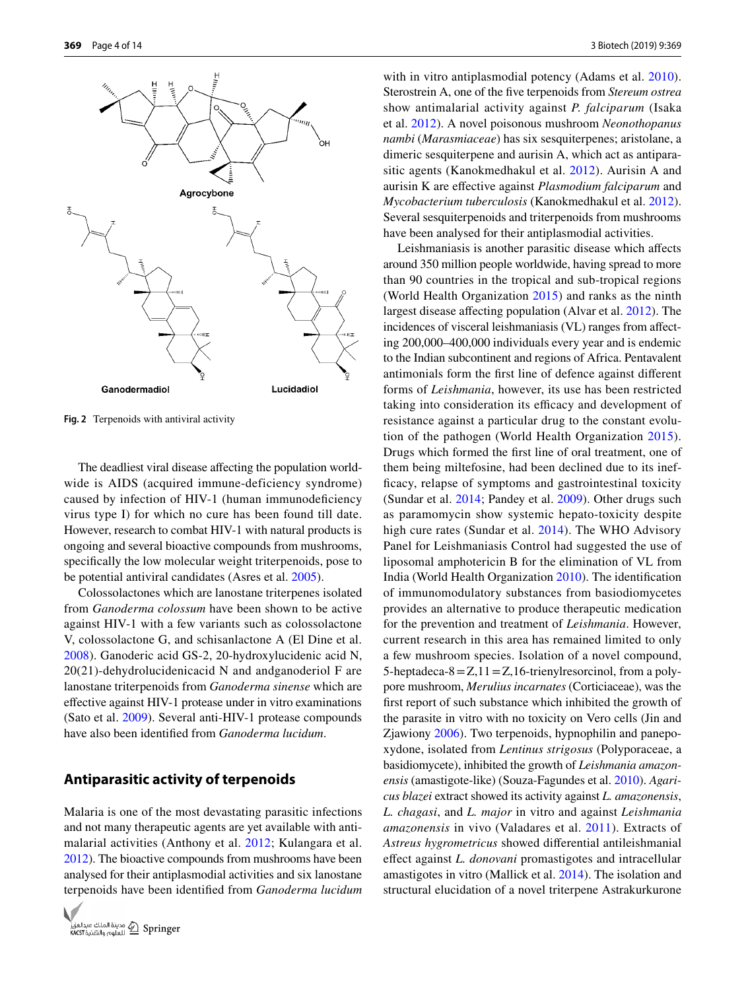

<span id="page-3-0"></span>**Fig. 2** Terpenoids with antiviral activity

The deadliest viral disease affecting the population worldwide is AIDS (acquired immune-deficiency syndrome) caused by infection of HIV-1 (human immunodeficiency virus type I) for which no cure has been found till date. However, research to combat HIV-1 with natural products is ongoing and several bioactive compounds from mushrooms, specifically the low molecular weight triterpenoids, pose to be potential antiviral candidates (Asres et al. [2005](#page-10-20)).

Colossolactones which are lanostane triterpenes isolated from *Ganoderma colossum* have been shown to be active against HIV-1 with a few variants such as colossolactone V, colossolactone G, and schisanlactone A (El Dine et al. [2008](#page-10-21)). Ganoderic acid GS-2, 20-hydroxylucidenic acid N, 20(21)-dehydrolucidenicacid N and andganoderiol F are lanostane triterpenoids from *Ganoderma sinense* which are effective against HIV-1 protease under in vitro examinations (Sato et al. [2009\)](#page-12-12). Several anti-HIV-1 protease compounds have also been identified from *Ganoderma lucidum*.

# **Antiparasitic activity of terpenoids**

Malaria is one of the most devastating parasitic infections and not many therapeutic agents are yet available with antimalarial activities (Anthony et al. [2012](#page-10-22); Kulangara et al. [2012\)](#page-11-16). The bioactive compounds from mushrooms have been analysed for their antiplasmodial activities and six lanostane terpenoids have been identified from *Ganoderma lucidum*



with in vitro antiplasmodial potency (Adams et al. [2010](#page-9-1)). Sterostrein A, one of the five terpenoids from *Stereum ostrea* show antimalarial activity against *P. falciparum* (Isaka et al. [2012\)](#page-10-23). A novel poisonous mushroom *Neonothopanus nambi* (*Marasmiaceae*) has six sesquiterpenes; aristolane, a dimeric sesquiterpene and aurisin A, which act as antiparasitic agents (Kanokmedhakul et al. [2012\)](#page-10-24). Aurisin A and aurisin K are effective against *Plasmodium falciparum* and *Mycobacterium tuberculosis* (Kanokmedhakul et al. [2012](#page-10-24)). Several sesquiterpenoids and triterpenoids from mushrooms have been analysed for their antiplasmodial activities.

Leishmaniasis is another parasitic disease which affects around 350 million people worldwide, having spread to more than 90 countries in the tropical and sub-tropical regions (World Health Organization [2015\)](#page-12-13) and ranks as the ninth largest disease affecting population (Alvar et al. [2012](#page-9-2)). The incidences of visceral leishmaniasis (VL) ranges from affecting 200,000–400,000 individuals every year and is endemic to the Indian subcontinent and regions of Africa. Pentavalent antimonials form the first line of defence against different forms of *Leishmania*, however, its use has been restricted taking into consideration its efficacy and development of resistance against a particular drug to the constant evolution of the pathogen (World Health Organization [2015](#page-12-13)). Drugs which formed the first line of oral treatment, one of them being miltefosine, had been declined due to its inefficacy, relapse of symptoms and gastrointestinal toxicity (Sundar et al. [2014](#page-12-14); Pandey et al. [2009](#page-11-17)). Other drugs such as paramomycin show systemic hepato-toxicity despite high cure rates (Sundar et al. [2014\)](#page-12-14). The WHO Advisory Panel for Leishmaniasis Control had suggested the use of liposomal amphotericin B for the elimination of VL from India (World Health Organization [2010\)](#page-12-15). The identification of immunomodulatory substances from basiodiomycetes provides an alternative to produce therapeutic medication for the prevention and treatment of *Leishmania*. However, current research in this area has remained limited to only a few mushroom species. Isolation of a novel compound, 5-heptadeca-8 =  $Z$ , 11 =  $Z$ , 16-trienyl resorcinol, from a polypore mushroom, *Merulius incarnates* (Corticiaceae), was the first report of such substance which inhibited the growth of the parasite in vitro with no toxicity on Vero cells (Jin and Zjawiony [2006](#page-10-25)). Two terpenoids, hypnophilin and panepoxydone, isolated from *Lentinus strigosus* (Polyporaceae, a basidiomycete), inhibited the growth of *Leishmania amazonensis* (amastigote-like) (Souza-Fagundes et al. [2010\)](#page-12-16). *Agaricus blazei* extract showed its activity against *L. amazonensis*, *L. chagasi*, and *L. major* in vitro and against *Leishmania amazonensis* in vivo (Valadares et al. [2011\)](#page-12-17). Extracts of *Astreus hygrometricus* showed differential antileishmanial effect against *L. donovani* promastigotes and intracellular amastigotes in vitro (Mallick et al. [2014](#page-11-18)). The isolation and structural elucidation of a novel triterpene Astrakurkurone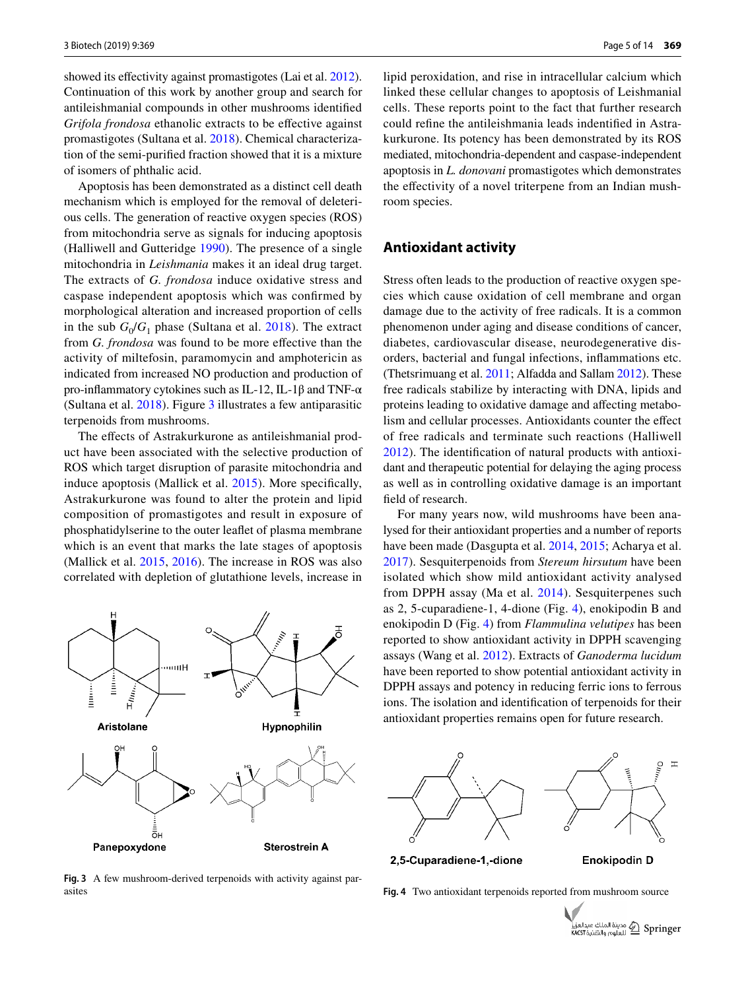showed its effectivity against promastigotes (Lai et al. [2012](#page-11-11)). Continuation of this work by another group and search for antileishmanial compounds in other mushrooms identified *Grifola frondosa* ethanolic extracts to be effective against promastigotes (Sultana et al. [2018\)](#page-12-18). Chemical characterization of the semi-purified fraction showed that it is a mixture of isomers of phthalic acid.

Apoptosis has been demonstrated as a distinct cell death mechanism which is employed for the removal of deleterious cells. The generation of reactive oxygen species (ROS) from mitochondria serve as signals for inducing apoptosis (Halliwell and Gutteridge [1990\)](#page-10-26). The presence of a single mitochondria in *Leishmania* makes it an ideal drug target. The extracts of *G. frondosa* induce oxidative stress and caspase independent apoptosis which was confirmed by morphological alteration and increased proportion of cells in the sub  $G_0/G_1$  phase (Sultana et al. [2018\)](#page-12-18). The extract from *G. frondosa* was found to be more effective than the activity of miltefosin, paramomycin and amphotericin as indicated from increased NO production and production of pro-inflammatory cytokines such as IL-12, IL-1β and TNF-α (Sultana et al. [2018](#page-12-18)). Figure [3](#page-4-0) illustrates a few antiparasitic terpenoids from mushrooms.

The effects of Astrakurkurone as antileishmanial product have been associated with the selective production of ROS which target disruption of parasite mitochondria and induce apoptosis (Mallick et al. [2015\)](#page-11-19). More specifically, Astrakurkurone was found to alter the protein and lipid composition of promastigotes and result in exposure of phosphatidylserine to the outer leaflet of plasma membrane which is an event that marks the late stages of apoptosis (Mallick et al. [2015,](#page-11-19) [2016\)](#page-11-20). The increase in ROS was also correlated with depletion of glutathione levels, increase in



<span id="page-4-0"></span>**Fig. 3** A few mushroom-derived terpenoids with activity against parasites **Fig. 4** Two antioxidant terpenoids reported from mushroom source

lipid peroxidation, and rise in intracellular calcium which linked these cellular changes to apoptosis of Leishmanial cells. These reports point to the fact that further research could refine the antileishmania leads indentified in Astrakurkurone. Its potency has been demonstrated by its ROS mediated, mitochondria-dependent and caspase-independent apoptosis in *L. donovani* promastigotes which demonstrates the effectivity of a novel triterpene from an Indian mushroom species.

#### **Antioxidant activity**

Stress often leads to the production of reactive oxygen species which cause oxidation of cell membrane and organ damage due to the activity of free radicals. It is a common phenomenon under aging and disease conditions of cancer, diabetes, cardiovascular disease, neurodegenerative disorders, bacterial and fungal infections, inflammations etc. (Thetsrimuang et al. [2011;](#page-12-19) Alfadda and Sallam [2012\)](#page-9-3). These free radicals stabilize by interacting with DNA, lipids and proteins leading to oxidative damage and affecting metabolism and cellular processes. Antioxidants counter the effect of free radicals and terminate such reactions (Halliwell [2012\)](#page-10-27). The identification of natural products with antioxidant and therapeutic potential for delaying the aging process as well as in controlling oxidative damage is an important field of research.

For many years now, wild mushrooms have been analysed for their antioxidant properties and a number of reports have been made (Dasgupta et al. [2014](#page-10-28), [2015](#page-10-29); Acharya et al. [2017](#page-9-4)). Sesquiterpenoids from *Stereum hirsutum* have been isolated which show mild antioxidant activity analysed from DPPH assay (Ma et al. [2014](#page-11-13)). Sesquiterpenes such as 2, 5-cuparadiene-1, 4-dione (Fig. [4](#page-4-1)), enokipodin B and enokipodin D (Fig. [4\)](#page-4-1) from *Flammulina velutipes* has been reported to show antioxidant activity in DPPH scavenging assays (Wang et al. [2012\)](#page-12-20). Extracts of *Ganoderma lucidum* have been reported to show potential antioxidant activity in DPPH assays and potency in reducing ferric ions to ferrous ions. The isolation and identification of terpenoids for their antioxidant properties remains open for future research.



2,5-Cuparadiene-1,-dione

**Enokipodin D** 

<span id="page-4-1"></span>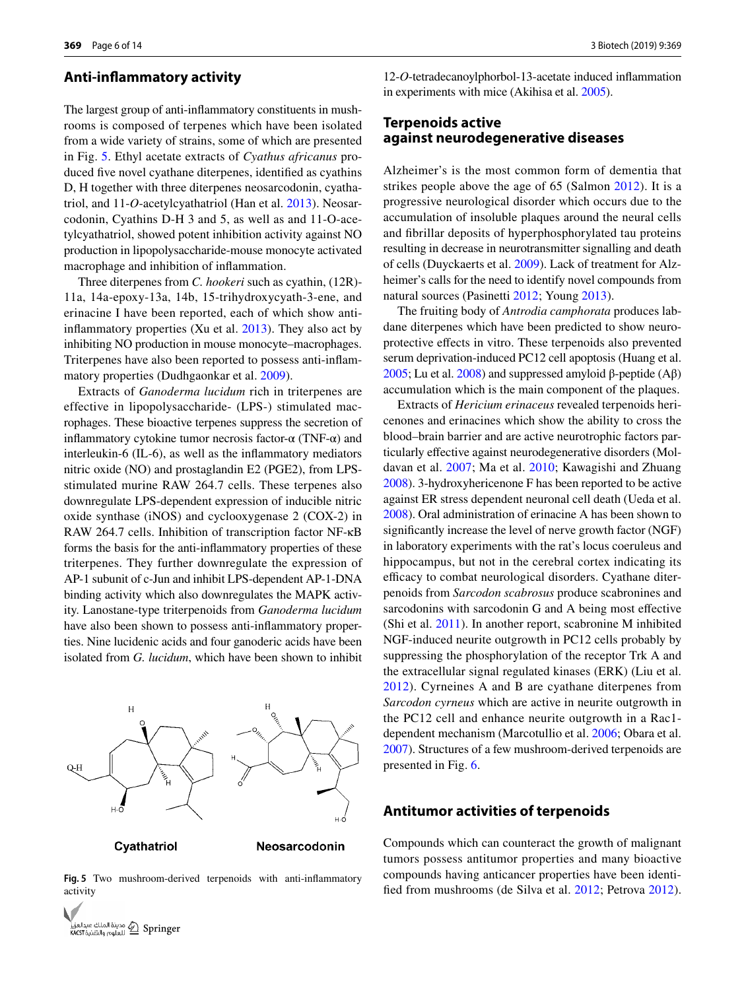#### **Anti‑inflammatory activity**

The largest group of anti-inflammatory constituents in mushrooms is composed of terpenes which have been isolated from a wide variety of strains, some of which are presented in Fig. [5](#page-5-0). Ethyl acetate extracts of *Cyathus africanus* produced five novel cyathane diterpenes, identified as cyathins D, H together with three diterpenes neosarcodonin, cyathatriol, and 11-*O*-acetylcyathatriol (Han et al. [2013](#page-10-6)). Neosarcodonin, Cyathins D-H 3 and 5, as well as and 11-O-acetylcyathatriol, showed potent inhibition activity against NO production in lipopolysaccharide-mouse monocyte activated macrophage and inhibition of inflammation.

Three diterpenes from *C. hookeri* such as cyathin, (12R)- 11a, 14a-epoxy-13a, 14b, 15-trihydroxycyath-3-ene, and erinacine I have been reported, each of which show antiinflammatory properties (Xu et al. [2013](#page-12-21)). They also act by inhibiting NO production in mouse monocyte–macrophages. Triterpenes have also been reported to possess anti-inflammatory properties (Dudhgaonkar et al. [2009](#page-10-30)).

Extracts of *Ganoderma lucidum* rich in triterpenes are effective in lipopolysaccharide- (LPS-) stimulated macrophages. These bioactive terpenes suppress the secretion of inflammatory cytokine tumor necrosis factor- $\alpha$  (TNF- $\alpha$ ) and interleukin-6 (IL-6), as well as the inflammatory mediators nitric oxide (NO) and prostaglandin E2 (PGE2), from LPSstimulated murine RAW 264.7 cells. These terpenes also downregulate LPS-dependent expression of inducible nitric oxide synthase (iNOS) and cyclooxygenase 2 (COX-2) in RAW 264.7 cells. Inhibition of transcription factor NF-κB forms the basis for the anti-inflammatory properties of these triterpenes. They further downregulate the expression of AP-1 subunit of c-Jun and inhibit LPS-dependent AP-1-DNA binding activity which also downregulates the MAPK activity. Lanostane-type triterpenoids from *Ganoderma lucidum* have also been shown to possess anti-inflammatory properties. Nine lucidenic acids and four ganoderic acids have been isolated from *G. lucidum*, which have been shown to inhibit

# $\mathbf{F}$  $O-H$ Cyathatriol Neosarcodonin

<span id="page-5-0"></span>**Fig. 5** Two mushroom-derived terpenoids with anti-inflammatory activity



12-*O*-tetradecanoylphorbol-13-acetate induced inflammation in experiments with mice (Akihisa et al. [2005\)](#page-9-5).

# **Terpenoids active against neurodegenerative diseases**

Alzheimer's is the most common form of dementia that strikes people above the age of 65 (Salmon [2012](#page-12-22)). It is a progressive neurological disorder which occurs due to the accumulation of insoluble plaques around the neural cells and fibrillar deposits of hyperphosphorylated tau proteins resulting in decrease in neurotransmitter signalling and death of cells (Duyckaerts et al. [2009\)](#page-10-31). Lack of treatment for Alzheimer's calls for the need to identify novel compounds from natural sources (Pasinetti [2012](#page-11-21); Young [2013\)](#page-13-3).

The fruiting body of *Antrodia camphorata* produces labdane diterpenes which have been predicted to show neuroprotective effects in vitro. These terpenoids also prevented serum deprivation-induced PC12 cell apoptosis (Huang et al. [2005;](#page-10-32) Lu et al. [2008\)](#page-11-22) and suppressed amyloid β-peptide (Aβ) accumulation which is the main component of the plaques.

Extracts of *Hericium erinaceus* revealed terpenoids hericenones and erinacines which show the ability to cross the blood–brain barrier and are active neurotrophic factors particularly effective against neurodegenerative disorders (Moldavan et al. [2007;](#page-11-23) Ma et al. [2010](#page-11-24); Kawagishi and Zhuang [2008\)](#page-10-33). 3-hydroxyhericenone F has been reported to be active against ER stress dependent neuronal cell death (Ueda et al. [2008](#page-12-23)). Oral administration of erinacine A has been shown to significantly increase the level of nerve growth factor (NGF) in laboratory experiments with the rat's locus coeruleus and hippocampus, but not in the cerebral cortex indicating its efficacy to combat neurological disorders. Cyathane diterpenoids from *Sarcodon scabrosus* produce scabronines and sarcodonins with sarcodonin G and A being most effective (Shi et al. [2011](#page-12-24)). In another report, scabronine M inhibited NGF-induced neurite outgrowth in PC12 cells probably by suppressing the phosphorylation of the receptor Trk A and the extracellular signal regulated kinases (ERK) (Liu et al. [2012\)](#page-11-25). Cyrneines A and B are cyathane diterpenes from *Sarcodon cyrneus* which are active in neurite outgrowth in the PC12 cell and enhance neurite outgrowth in a Rac1 dependent mechanism (Marcotullio et al. [2006;](#page-11-26) Obara et al. [2007](#page-11-27)). Structures of a few mushroom-derived terpenoids are presented in Fig. [6](#page-6-0).

#### **Antitumor activities of terpenoids**

Compounds which can counteract the growth of malignant tumors possess antitumor properties and many bioactive compounds having anticancer properties have been identified from mushrooms (de Silva et al. [2012](#page-10-34); Petrova [2012](#page-12-25)).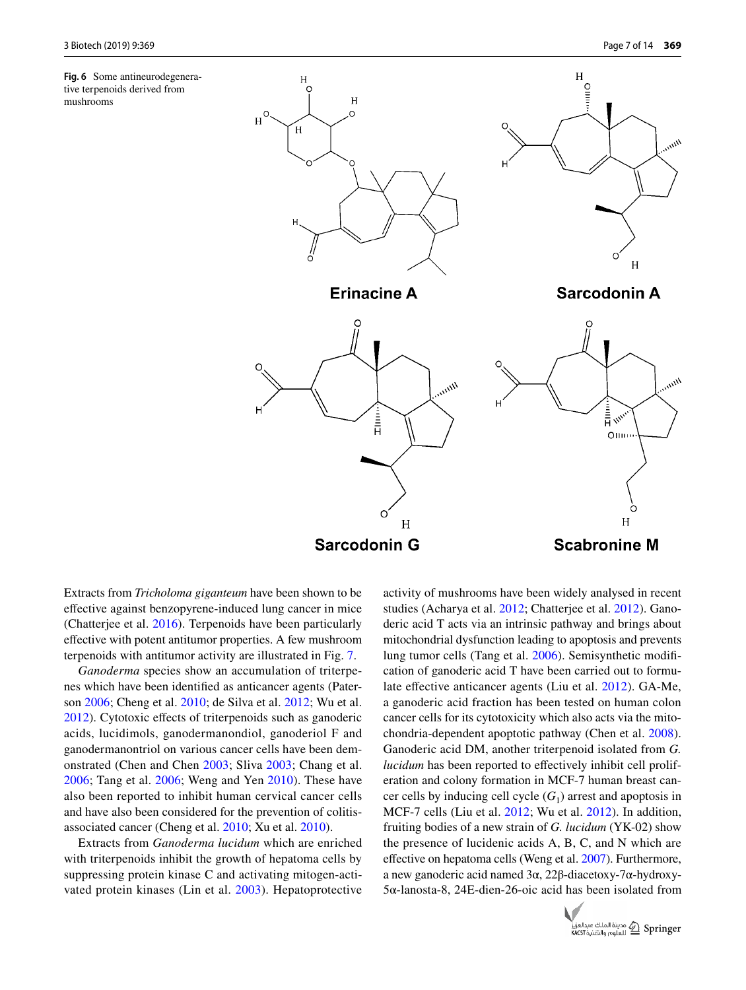<span id="page-6-0"></span>**Fig. 6** Some antineurodegenerative terpenoids derived from mushrooms



Extracts from *Tricholoma giganteum* have been shown to be effective against benzopyrene-induced lung cancer in mice (Chatterjee et al. [2016](#page-10-35)). Terpenoids have been particularly effective with potent antitumor properties. A few mushroom terpenoids with antitumor activity are illustrated in Fig. [7](#page-7-0).

*Ganoderma* species show an accumulation of triterpenes which have been identified as anticancer agents (Paterson [2006;](#page-11-28) Cheng et al. [2010;](#page-10-36) de Silva et al. [2012](#page-10-34); Wu et al. [2012](#page-12-26)). Cytotoxic effects of triterpenoids such as ganoderic acids, lucidimols, ganodermanondiol, ganoderiol F and ganodermanontriol on various cancer cells have been demonstrated (Chen and Chen [2003;](#page-10-37) Sliva [2003](#page-12-27); Chang et al. [2006](#page-10-38); Tang et al. [2006](#page-12-28); Weng and Yen [2010](#page-12-29)). These have also been reported to inhibit human cervical cancer cells and have also been considered for the prevention of colitisassociated cancer (Cheng et al. [2010](#page-10-36); Xu et al. [2010](#page-12-30)).

Extracts from *Ganoderma lucidum* which are enriched with triterpenoids inhibit the growth of hepatoma cells by suppressing protein kinase C and activating mitogen-activated protein kinases (Lin et al. [2003\)](#page-11-29). Hepatoprotective

activity of mushrooms have been widely analysed in recent studies (Acharya et al. [2012;](#page-9-6) Chatterjee et al. [2012\)](#page-10-39). Ganoderic acid T acts via an intrinsic pathway and brings about mitochondrial dysfunction leading to apoptosis and prevents lung tumor cells (Tang et al. [2006](#page-12-28)). Semisynthetic modification of ganoderic acid T have been carried out to formulate effective anticancer agents (Liu et al. [2012](#page-11-25)). GA-Me, a ganoderic acid fraction has been tested on human colon cancer cells for its cytotoxicity which also acts via the mitochondria-dependent apoptotic pathway (Chen et al. [2008](#page-10-40)). Ganoderic acid DM, another triterpenoid isolated from *G. lucidum* has been reported to effectively inhibit cell proliferation and colony formation in MCF-7 human breast cancer cells by inducing cell cycle  $(G<sub>1</sub>)$  arrest and apoptosis in MCF-7 cells (Liu et al. [2012](#page-11-25); Wu et al. [2012\)](#page-12-26). In addition, fruiting bodies of a new strain of *G. lucidum* (YK-02) show the presence of lucidenic acids A, B, C, and N which are effective on hepatoma cells (Weng et al. [2007](#page-12-31)). Furthermore, a new ganoderic acid named 3α, 22β-diacetoxy-7α-hydroxy-5α-lanosta-8, 24E-dien-26-oic acid has been isolated from

![](_page_6_Picture_8.jpeg)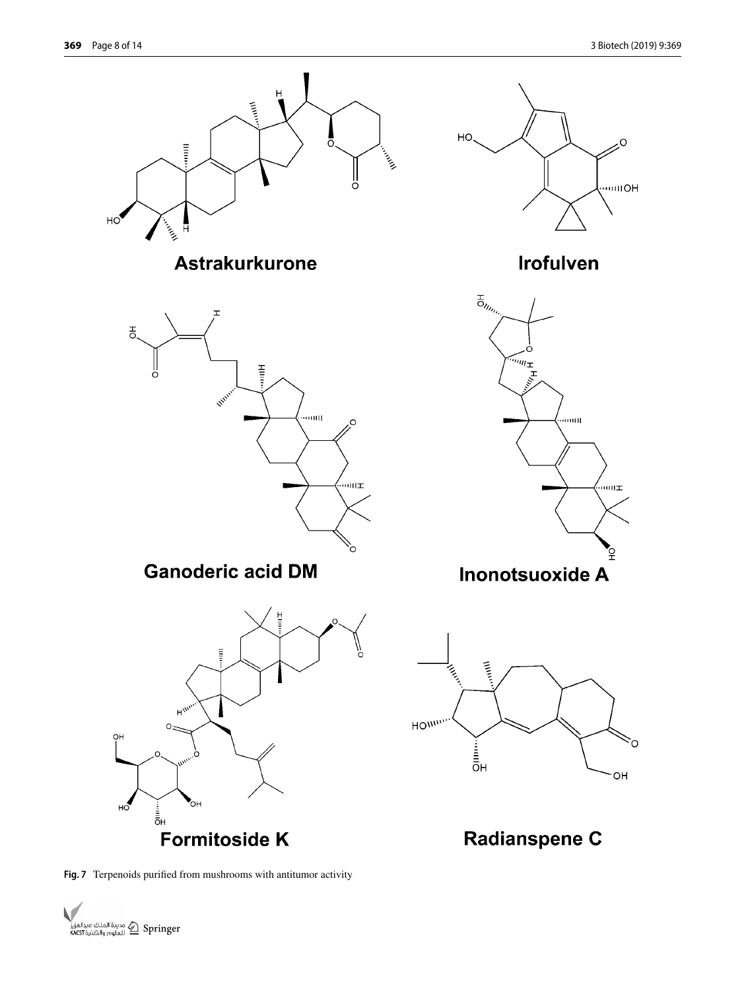![](_page_7_Figure_2.jpeg)

<span id="page-7-0"></span>**Fig. 7** Terpenoids purified from mushrooms with antitumor activity

![](_page_7_Picture_4.jpeg)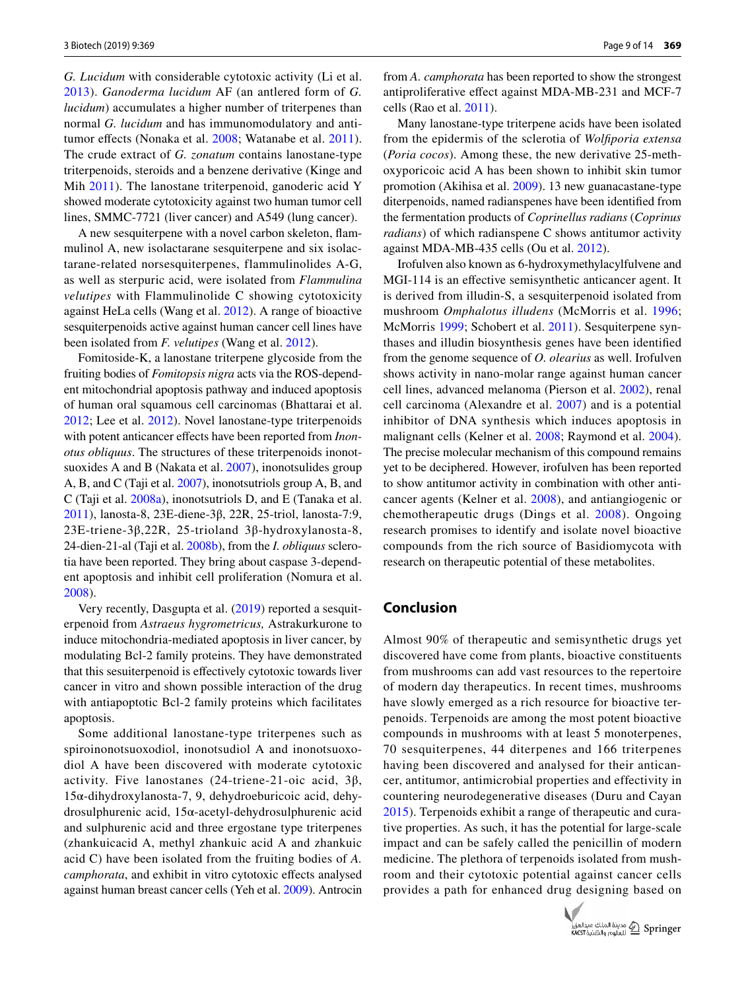*G. Lucidum* with considerable cytotoxic activity (Li et al. [2013\)](#page-11-30). *Ganoderma lucidum* AF (an antlered form of *G. lucidum*) accumulates a higher number of triterpenes than normal *G. lucidum* and has immunomodulatory and antitumor effects (Nonaka et al. [2008](#page-11-31); Watanabe et al. [2011](#page-12-32)). The crude extract of *G. zonatum* contains lanostane-type triterpenoids, steroids and a benzene derivative (Kinge and Mih [2011\)](#page-11-32). The lanostane triterpenoid, ganoderic acid Y showed moderate cytotoxicity against two human tumor cell lines, SMMC-7721 (liver cancer) and A549 (lung cancer).

A new sesquiterpene with a novel carbon skeleton, flammulinol A, new isolactarane sesquiterpene and six isolactarane-related norsesquiterpenes, flammulinolides A-G, as well as sterpuric acid, were isolated from *Flammulina velutipes* with Flammulinolide C showing cytotoxicity against HeLa cells (Wang et al. [2012\)](#page-12-20). A range of bioactive sesquiterpenoids active against human cancer cell lines have been isolated from *F. velutipes* (Wang et al. [2012\)](#page-12-20).

Fomitoside-K, a lanostane triterpene glycoside from the fruiting bodies of *Fomitopsis nigra* acts via the ROS-dependent mitochondrial apoptosis pathway and induced apoptosis of human oral squamous cell carcinomas (Bhattarai et al. [2012](#page-10-41); Lee et al. [2012\)](#page-11-33). Novel lanostane-type triterpenoids with potent anticancer effects have been reported from *Inonotus obliquus*. The structures of these triterpenoids inonotsuoxides A and B (Nakata et al. [2007\)](#page-11-34), inonotsulides group A, B, and C (Taji et al. [2007](#page-12-33)), inonotsutriols group A, B, and C (Taji et al. [2008a](#page-12-34)), inonotsutriols D, and E (Tanaka et al. [2011](#page-12-35)), lanosta-8, 23E-diene-3β, 22R, 25-triol, lanosta-7:9, 23E-triene-3β,22R, 25-trioland 3β-hydroxylanosta-8, 24-dien-21-al (Taji et al. [2008b](#page-12-36)), from the *I. obliquus* sclerotia have been reported. They bring about caspase 3-dependent apoptosis and inhibit cell proliferation (Nomura et al. [2008](#page-11-35)).

Very recently, Dasgupta et al. [\(2019](#page-10-42)) reported a sesquiterpenoid from *Astraeus hygrometricus,* Astrakurkurone to induce mitochondria-mediated apoptosis in liver cancer, by modulating Bcl-2 family proteins. They have demonstrated that this sesuiterpenoid is effectively cytotoxic towards liver cancer in vitro and shown possible interaction of the drug with antiapoptotic Bcl-2 family proteins which facilitates apoptosis.

Some additional lanostane-type triterpenes such as spiroinonotsuoxodiol, inonotsudiol A and inonotsuoxodiol A have been discovered with moderate cytotoxic activity. Five lanostanes (24-triene-21-oic acid, 3β, 15α-dihydroxylanosta-7, 9, dehydroeburicoic acid, dehydrosulphurenic acid, 15α-acetyl-dehydrosulphurenic acid and sulphurenic acid and three ergostane type triterpenes (zhankuicacid A, methyl zhankuic acid A and zhankuic acid C) have been isolated from the fruiting bodies of *A. camphorata*, and exhibit in vitro cytotoxic effects analysed against human breast cancer cells (Yeh et al. [2009](#page-13-4)). Antrocin from *A. camphorata* has been reported to show the strongest antiproliferative effect against MDA-MB-231 and MCF-7 cells (Rao et al. [2011](#page-12-37)).

Many lanostane-type triterpene acids have been isolated from the epidermis of the sclerotia of *Wolfiporia extensa* (*Poria cocos*). Among these, the new derivative 25-methoxyporicoic acid A has been shown to inhibit skin tumor promotion (Akihisa et al. [2009\)](#page-9-7). 13 new guanacastane-type diterpenoids, named radianspenes have been identified from the fermentation products of *Coprinellus radians* (*Coprinus radians*) of which radianspene C shows antitumor activity against MDA-MB-435 cells (Ou et al. [2012](#page-11-36)).

Irofulven also known as 6-hydroxymethylacylfulvene and MGI-114 is an effective semisynthetic anticancer agent. It is derived from illudin-S, a sesquiterpenoid isolated from mushroom *Omphalotus illudens* (McMorris et al. [1996](#page-11-37); McMorris [1999;](#page-11-38) Schobert et al. [2011](#page-12-38)). Sesquiterpene synthases and illudin biosynthesis genes have been identified from the genome sequence of *O. olearius* as well. Irofulven shows activity in nano-molar range against human cancer cell lines, advanced melanoma (Pierson et al. [2002](#page-12-39)), renal cell carcinoma (Alexandre et al. [2007](#page-9-8)) and is a potential inhibitor of DNA synthesis which induces apoptosis in malignant cells (Kelner et al. [2008;](#page-11-39) Raymond et al. [2004](#page-12-40)). The precise molecular mechanism of this compound remains yet to be deciphered. However, irofulven has been reported to show antitumor activity in combination with other anticancer agents (Kelner et al. [2008\)](#page-11-39), and antiangiogenic or chemotherapeutic drugs (Dings et al. [2008\)](#page-10-43). Ongoing research promises to identify and isolate novel bioactive compounds from the rich source of Basidiomycota with research on therapeutic potential of these metabolites.

#### **Conclusion**

Almost 90% of therapeutic and semisynthetic drugs yet discovered have come from plants, bioactive constituents from mushrooms can add vast resources to the repertoire of modern day therapeutics. In recent times, mushrooms have slowly emerged as a rich resource for bioactive terpenoids. Terpenoids are among the most potent bioactive compounds in mushrooms with at least 5 monoterpenes, 70 sesquiterpenes, 44 diterpenes and 166 triterpenes having been discovered and analysed for their anticancer, antitumor, antimicrobial properties and effectivity in countering neurodegenerative diseases (Duru and Cayan [2015\)](#page-10-13). Terpenoids exhibit a range of therapeutic and curative properties. As such, it has the potential for large-scale impact and can be safely called the penicillin of modern medicine. The plethora of terpenoids isolated from mushroom and their cytotoxic potential against cancer cells provides a path for enhanced drug designing based on

![](_page_8_Picture_12.jpeg)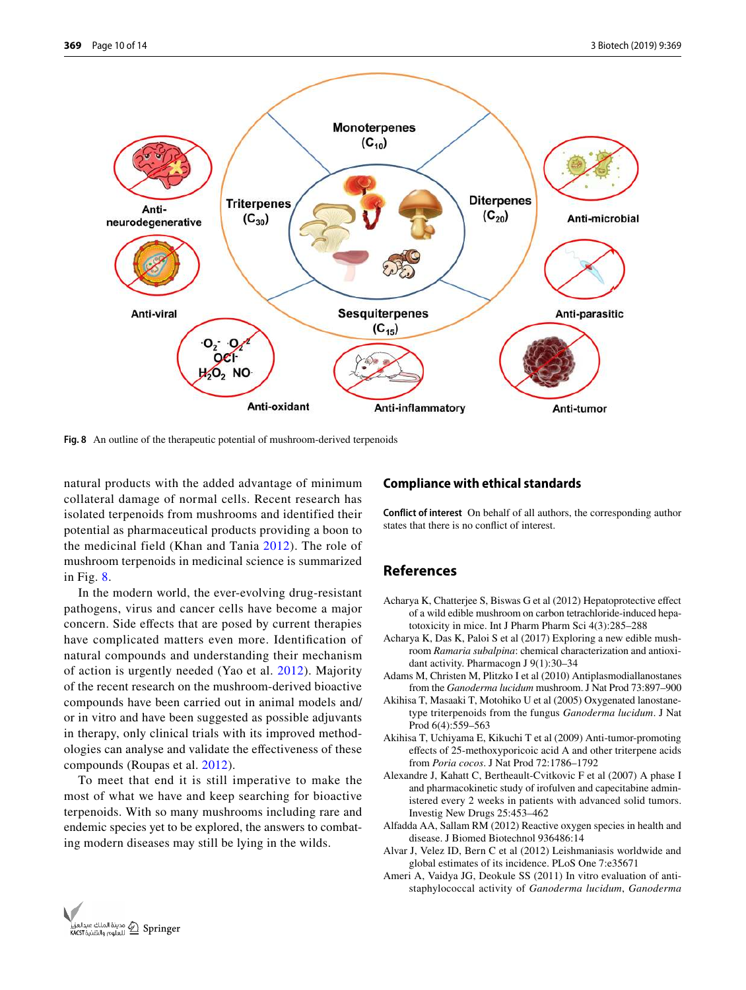![](_page_9_Figure_2.jpeg)

<span id="page-9-9"></span>**Fig. 8** An outline of the therapeutic potential of mushroom-derived terpenoids

natural products with the added advantage of minimum collateral damage of normal cells. Recent research has isolated terpenoids from mushrooms and identified their potential as pharmaceutical products providing a boon to the medicinal field (Khan and Tania [2012\)](#page-11-40). The role of mushroom terpenoids in medicinal science is summarized in Fig. [8.](#page-9-9)

In the modern world, the ever-evolving drug-resistant pathogens, virus and cancer cells have become a major concern. Side effects that are posed by current therapies have complicated matters even more. Identification of natural compounds and understanding their mechanism of action is urgently needed (Yao et al. [2012\)](#page-12-41). Majority of the recent research on the mushroom-derived bioactive compounds have been carried out in animal models and/ or in vitro and have been suggested as possible adjuvants in therapy, only clinical trials with its improved methodologies can analyse and validate the effectiveness of these compounds (Roupas et al. [2012](#page-12-42)).

To meet that end it is still imperative to make the most of what we have and keep searching for bioactive terpenoids. With so many mushrooms including rare and endemic species yet to be explored, the answers to combating modern diseases may still be lying in the wilds.

#### **Compliance with ethical standards**

**Conflict of interest** On behalf of all authors, the corresponding author states that there is no conflict of interest.

### **References**

- <span id="page-9-6"></span>Acharya K, Chatterjee S, Biswas G et al (2012) Hepatoprotective effect of a wild edible mushroom on carbon tetrachloride-induced hepatotoxicity in mice. Int J Pharm Pharm Sci 4(3):285–288
- <span id="page-9-4"></span>Acharya K, Das K, Paloi S et al (2017) Exploring a new edible mushroom *Ramaria subalpina*: chemical characterization and antioxidant activity. Pharmacogn J 9(1):30–34
- <span id="page-9-1"></span>Adams M, Christen M, Plitzko I et al (2010) Antiplasmodiallanostanes from the *Ganoderma lucidum* mushroom. J Nat Prod 73:897–900
- <span id="page-9-5"></span>Akihisa T, Masaaki T, Motohiko U et al (2005) Oxygenated lanostanetype triterpenoids from the fungus *Ganoderma lucidum*. J Nat Prod 6(4):559–563
- <span id="page-9-7"></span>Akihisa T, Uchiyama E, Kikuchi T et al (2009) Anti-tumor-promoting effects of 25-methoxyporicoic acid A and other triterpene acids from *Poria cocos*. J Nat Prod 72:1786–1792
- <span id="page-9-8"></span>Alexandre J, Kahatt C, Bertheault-Cvitkovic F et al (2007) A phase I and pharmacokinetic study of irofulven and capecitabine administered every 2 weeks in patients with advanced solid tumors. Investig New Drugs 25:453–462
- <span id="page-9-3"></span>Alfadda AA, Sallam RM (2012) Reactive oxygen species in health and disease. J Biomed Biotechnol 936486:14
- <span id="page-9-2"></span>Alvar J, Velez ID, Bern C et al (2012) Leishmaniasis worldwide and global estimates of its incidence. PLoS One 7:e35671
- <span id="page-9-0"></span>Ameri A, Vaidya JG, Deokule SS (2011) In vitro evaluation of antistaphylococcal activity of *Ganoderma lucidum*, *Ganoderma*

![](_page_9_Picture_19.jpeg)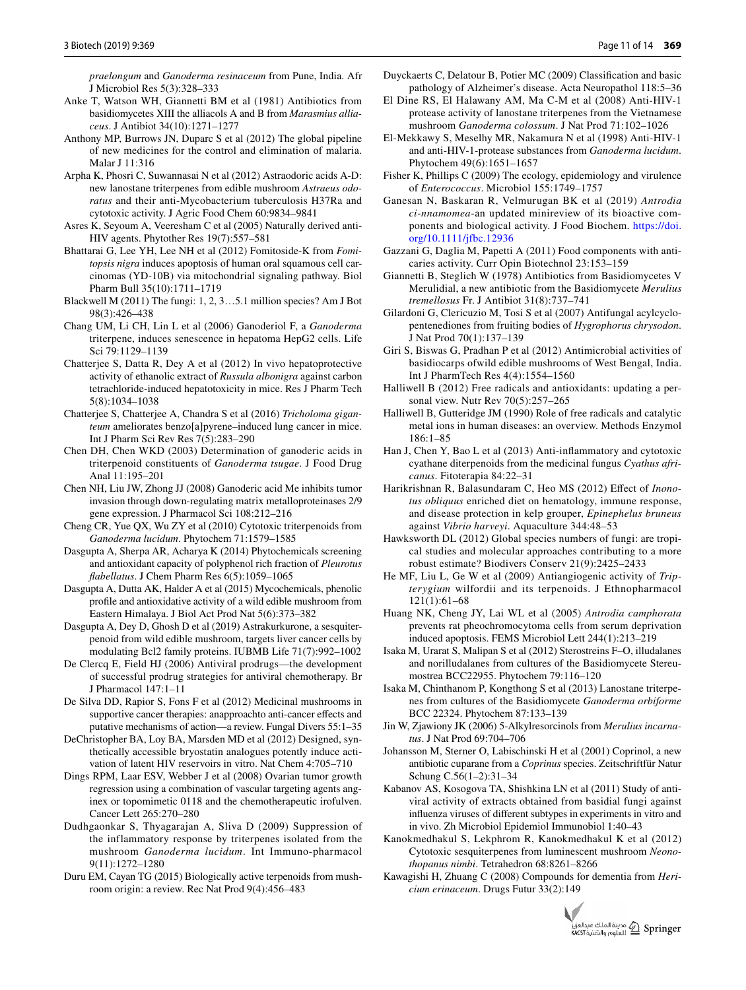*praelongum* and *Ganoderma resinaceum* from Pune, India. Afr J Microbiol Res 5(3):328–333

- <span id="page-10-5"></span>Anke T, Watson WH, Giannetti BM et al (1981) Antibiotics from basidiomycetes XIII the alliacols A and B from *Marasmius alliaceus*. J Antibiot 34(10):1271–1277
- <span id="page-10-22"></span>Anthony MP, Burrows JN, Duparc S et al (2012) The global pipeline of new medicines for the control and elimination of malaria. Malar J 11:316
- <span id="page-10-14"></span>Arpha K, Phosri C, Suwannasai N et al (2012) Astraodoric acids A-D: new lanostane triterpenes from edible mushroom *Astraeus odoratus* and their anti-Mycobacterium tuberculosis H37Ra and cytotoxic activity. J Agric Food Chem 60:9834–9841
- <span id="page-10-20"></span>Asres K, Seyoum A, Veeresham C et al (2005) Naturally derived anti-HIV agents. Phytother Res 19(7):557–581
- <span id="page-10-41"></span>Bhattarai G, Lee YH, Lee NH et al (2012) Fomitoside-K from *Fomitopsis nigra* induces apoptosis of human oral squamous cell carcinomas (YD-10B) via mitochondrial signaling pathway. Biol Pharm Bull 35(10):1711–1719
- <span id="page-10-2"></span>Blackwell M (2011) The fungi: 1, 2, 3…5.1 million species? Am J Bot 98(3):426–438
- <span id="page-10-38"></span>Chang UM, Li CH, Lin L et al (2006) Ganoderiol F, a *Ganoderma* triterpene, induces senescence in hepatoma HepG2 cells. Life Sci 79:1129–1139
- <span id="page-10-39"></span>Chatterjee S, Datta R, Dey A et al (2012) In vivo hepatoprotective activity of ethanolic extract of *Russula albonigra* against carbon tetrachloride-induced hepatotoxicity in mice. Res J Pharm Tech 5(8):1034–1038
- <span id="page-10-35"></span>Chatterjee S, Chatterjee A, Chandra S et al (2016) *Tricholoma giganteum* ameliorates benzo[a]pyrene–induced lung cancer in mice. Int J Pharm Sci Rev Res 7(5):283–290
- <span id="page-10-37"></span>Chen DH, Chen WKD (2003) Determination of ganoderic acids in triterpenoid constituents of *Ganoderma tsugae*. J Food Drug Anal 11:195–201
- <span id="page-10-40"></span>Chen NH, Liu JW, Zhong JJ (2008) Ganoderic acid Me inhibits tumor invasion through down-regulating matrix metalloproteinases 2/9 gene expression. J Pharmacol Sci 108:212–216
- <span id="page-10-36"></span>Cheng CR, Yue QX, Wu ZY et al (2010) Cytotoxic triterpenoids from *Ganoderma lucidum*. Phytochem 71:1579–1585
- <span id="page-10-28"></span>Dasgupta A, Sherpa AR, Acharya K (2014) Phytochemicals screening and antioxidant capacity of polyphenol rich fraction of *Pleurotus flabellatus*. J Chem Pharm Res 6(5):1059–1065
- <span id="page-10-29"></span>Dasgupta A, Dutta AK, Halder A et al (2015) Mycochemicals, phenolic profile and antioxidative activity of a wild edible mushroom from Eastern Himalaya. J Biol Act Prod Nat 5(6):373–382
- <span id="page-10-42"></span>Dasgupta A, Dey D, Ghosh D et al (2019) Astrakurkurone, a sesquiterpenoid from wild edible mushroom, targets liver cancer cells by modulating Bcl2 family proteins. IUBMB Life 71(7):992–1002
- <span id="page-10-17"></span>De Clercq E, Field HJ (2006) Antiviral prodrugs—the development of successful prodrug strategies for antiviral chemotherapy. Br J Pharmacol 147:1–11
- <span id="page-10-34"></span>De Silva DD, Rapior S, Fons F et al (2012) Medicinal mushrooms in supportive cancer therapies: anapproachto anti-cancer effects and putative mechanisms of action—a review. Fungal Divers 55:1–35
- <span id="page-10-18"></span>DeChristopher BA, Loy BA, Marsden MD et al (2012) Designed, synthetically accessible bryostatin analogues potently induce activation of latent HIV reservoirs in vitro. Nat Chem 4:705–710
- <span id="page-10-43"></span>Dings RPM, Laar ESV, Webber J et al (2008) Ovarian tumor growth regression using a combination of vascular targeting agents anginex or topomimetic 0118 and the chemotherapeutic irofulven. Cancer Lett 265:270–280
- <span id="page-10-30"></span>Dudhgaonkar S, Thyagarajan A, Sliva D (2009) Suppression of the inflammatory response by triterpenes isolated from the mushroom *Ganoderma lucidum*. Int Immuno-pharmacol 9(11):1272–1280
- <span id="page-10-13"></span>Duru EM, Cayan TG (2015) Biologically active terpenoids from mushroom origin: a review. Rec Nat Prod 9(4):456–483
- <span id="page-10-31"></span>Duyckaerts C, Delatour B, Potier MC (2009) Classification and basic pathology of Alzheimer's disease. Acta Neuropathol 118:5–36
- <span id="page-10-21"></span>El Dine RS, El Halawany AM, Ma C-M et al (2008) Anti-HIV-1 protease activity of lanostane triterpenes from the Vietnamese mushroom *Ganoderma colossum*. J Nat Prod 71:102–1026
- <span id="page-10-3"></span>El-Mekkawy S, Meselhy MR, Nakamura N et al (1998) Anti-HIV-1 and anti-HIV-1-protease substances from *Ganoderma lucidum*. Phytochem 49(6):1651–1657
- <span id="page-10-16"></span>Fisher K, Phillips C (2009) The ecology, epidemiology and virulence of *Enterococcus*. Microbiol 155:1749–1757
- <span id="page-10-7"></span>Ganesan N, Baskaran R, Velmurugan BK et al (2019) *Antrodia ci*-*nnamomea*-an updated minireview of its bioactive components and biological activity. J Food Biochem. https://doi. [org/10.1111/jfbc.12936](https://doi.org/10.1111/jfbc.12936)
- <span id="page-10-8"></span>Gazzani G, Daglia M, Papetti A (2011) Food components with anticaries activity. Curr Opin Biotechnol 23:153–159
- <span id="page-10-4"></span>Giannetti B, Steglich W (1978) Antibiotics from Basidiomycetes V Merulidial, a new antibiotic from the Basidiomycete *Merulius tremellosus* Fr. J Antibiot 31(8):737–741
- <span id="page-10-10"></span>Gilardoni G, Clericuzio M, Tosi S et al (2007) Antifungal acylcyclopentenediones from fruiting bodies of *Hygrophorus chrysodon*. J Nat Prod 70(1):137–139
- <span id="page-10-12"></span>Giri S, Biswas G, Pradhan P et al (2012) Antimicrobial activities of basidiocarps ofwild edible mushrooms of West Bengal, India. Int J PharmTech Res 4(4):1554–1560
- <span id="page-10-27"></span>Halliwell B (2012) Free radicals and antioxidants: updating a personal view. Nutr Rev 70(5):257–265
- <span id="page-10-26"></span>Halliwell B, Gutteridge JM (1990) Role of free radicals and catalytic metal ions in human diseases: an overview. Methods Enzymol 186:1–85
- <span id="page-10-6"></span>Han J, Chen Y, Bao L et al (2013) Anti-inflammatory and cytotoxic cyathane diterpenoids from the medicinal fungus *Cyathus africanus*. Fitoterapia 84:22–31
- <span id="page-10-9"></span>Harikrishnan R, Balasundaram C, Heo MS (2012) Effect of *Inonotus obliquus* enriched diet on hematology, immune response, and disease protection in kelp grouper, *Epinephelus bruneus* against *Vibrio harveyi*. Aquaculture 344:48–53
- <span id="page-10-1"></span>Hawksworth DL (2012) Global species numbers of fungi: are tropical studies and molecular approaches contributing to a more robust estimate? Biodivers Conserv 21(9):2425–2433
- <span id="page-10-0"></span>He MF, Liu L, Ge W et al (2009) Antiangiogenic activity of *Tripterygium* wilfordii and its terpenoids. J Ethnopharmacol 121(1):61–68
- <span id="page-10-32"></span>Huang NK, Cheng JY, Lai WL et al (2005) *Antrodia camphorata* prevents rat pheochromocytoma cells from serum deprivation induced apoptosis. FEMS Microbiol Lett 244(1):213–219
- <span id="page-10-23"></span>Isaka M, Urarat S, Malipan S et al (2012) Sterostreins F–O, illudalanes and norilludalanes from cultures of the Basidiomycete Stereumostrea BCC22955. Phytochem 79:116–120
- <span id="page-10-15"></span>Isaka M, Chinthanom P, Kongthong S et al (2013) Lanostane triterpenes from cultures of the Basidiomycete *Ganoderma orbiforme* BCC 22324. Phytochem 87:133–139
- <span id="page-10-25"></span>Jin W, Zjawiony JK (2006) 5-Alkylresorcinols from *Merulius incarnatus*. J Nat Prod 69:704–706
- <span id="page-10-11"></span>Johansson M, Sterner O, Labischinski H et al (2001) Coprinol, a new antibiotic cuparane from a *Coprinus* species. Zeitschriftfür Natur Schung C.56(1–2):31–34
- <span id="page-10-19"></span>Kabanov AS, Kosogova TA, Shishkina LN et al (2011) Study of antiviral activity of extracts obtained from basidial fungi against influenza viruses of different subtypes in experiments in vitro and in vivo. Zh Microbiol Epidemiol Immunobiol 1:40–43
- <span id="page-10-24"></span>Kanokmedhakul S, Lekphrom R, Kanokmedhakul K et al (2012) Cytotoxic sesquiterpenes from luminescent mushroom *Neonothopanus nimbi*. Tetrahedron 68:8261–8266
- <span id="page-10-33"></span>Kawagishi H, Zhuang C (2008) Compounds for dementia from *Hericium erinaceum*. Drugs Futur 33(2):149

![](_page_10_Picture_47.jpeg)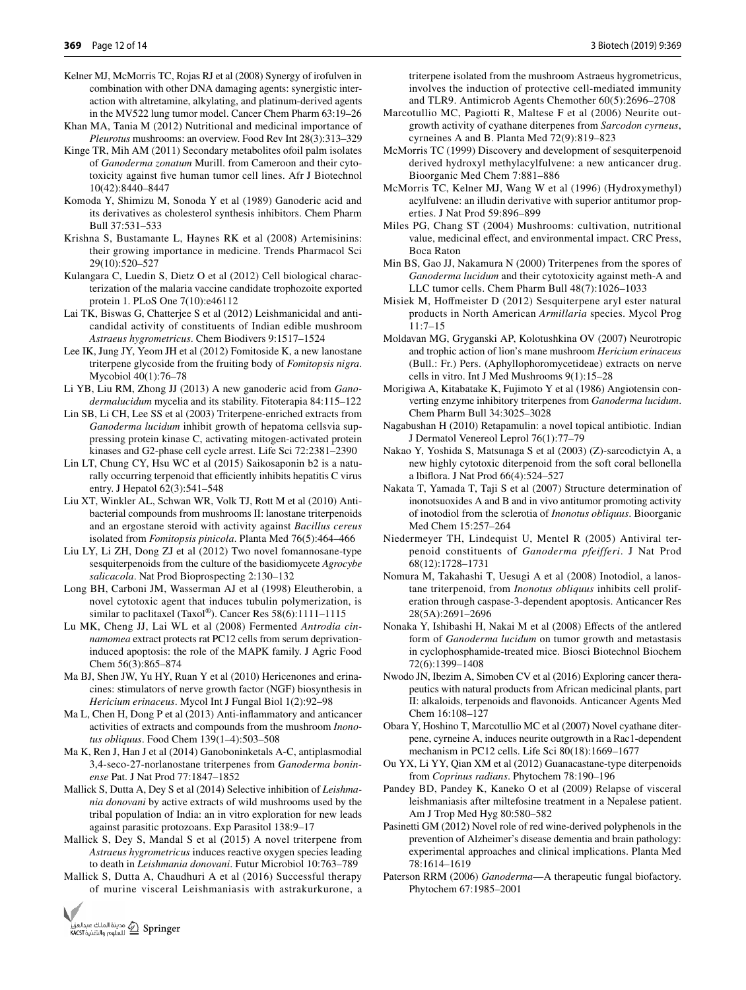- <span id="page-11-39"></span>Kelner MJ, McMorris TC, Rojas RJ et al (2008) Synergy of irofulven in combination with other DNA damaging agents: synergistic interaction with altretamine, alkylating, and platinum-derived agents in the MV522 lung tumor model. Cancer Chem Pharm 63:19–26
- <span id="page-11-40"></span>Khan MA, Tania M (2012) Nutritional and medicinal importance of *Pleurotus* mushrooms: an overview. Food Rev Int 28(3):313–329
- <span id="page-11-32"></span>Kinge TR, Mih AM (2011) Secondary metabolites ofoil palm isolates of *Ganoderma zonatum* Murill. from Cameroon and their cytotoxicity against five human tumor cell lines. Afr J Biotechnol 10(42):8440–8447
- <span id="page-11-7"></span>Komoda Y, Shimizu M, Sonoda Y et al (1989) Ganoderic acid and its derivatives as cholesterol synthesis inhibitors. Chem Pharm Bull 37:531–533
- <span id="page-11-4"></span>Krishna S, Bustamante L, Haynes RK et al (2008) Artemisinins: their growing importance in medicine. Trends Pharmacol Sci 29(10):520–527
- <span id="page-11-16"></span>Kulangara C, Luedin S, Dietz O et al (2012) Cell biological characterization of the malaria vaccine candidate trophozoite exported protein 1. PLoS One 7(10):e46112
- <span id="page-11-11"></span>Lai TK, Biswas G, Chatterjee S et al (2012) Leishmanicidal and anticandidal activity of constituents of Indian edible mushroom *Astraeus hygrometricus*. Chem Biodivers 9:1517–1524
- <span id="page-11-33"></span>Lee IK, Jung JY, Yeom JH et al (2012) Fomitoside K, a new lanostane triterpene glycoside from the fruiting body of *Fomitopsis nigra*. Mycobiol 40(1):76–78
- <span id="page-11-30"></span>Li YB, Liu RM, Zhong JJ (2013) A new ganoderic acid from *Ganodermalucidum* mycelia and its stability. Fitoterapia 84:115–122
- <span id="page-11-29"></span>Lin SB, Li CH, Lee SS et al (2003) Triterpene-enriched extracts from *Ganoderma lucidum* inhibit growth of hepatoma cellsvia suppressing protein kinase C, activating mitogen-activated protein kinases and G2-phase cell cycle arrest. Life Sci 72:2381–2390
- <span id="page-11-0"></span>Lin LT, Chung CY, Hsu WC et al (2015) Saikosaponin b2 is a naturally occurring terpenoid that efficiently inhibits hepatitis C virus entry. J Hepatol 62(3):541–548
- <span id="page-11-14"></span>Liu XT, Winkler AL, Schwan WR, Volk TJ, Rott M et al (2010) Antibacterial compounds from mushrooms II: lanostane triterpenoids and an ergostane steroid with activity against *Bacillus cereus* isolated from *Fomitopsis pinicola*. Planta Med 76(5):464–466
- <span id="page-11-25"></span>Liu LY, Li ZH, Dong ZJ et al (2012) Two novel fomannosane-type sesquiterpenoids from the culture of the basidiomycete *Agrocybe salicacola*. Nat Prod Bioprospecting 2:130–132
- <span id="page-11-2"></span>Long BH, Carboni JM, Wasserman AJ et al (1998) Eleutherobin, a novel cytotoxic agent that induces tubulin polymerization, is similar to paclitaxel (Taxol®). Cancer Res 58(6):1111-1115
- <span id="page-11-22"></span>Lu MK, Cheng JJ, Lai WL et al (2008) Fermented *Antrodia cinnamomea* extract protects rat PC12 cells from serum deprivationinduced apoptosis: the role of the MAPK family. J Agric Food Chem 56(3):865–874
- <span id="page-11-24"></span>Ma BJ, Shen JW, Yu HY, Ruan Y et al (2010) Hericenones and erinacines: stimulators of nerve growth factor (NGF) biosynthesis in *Hericium erinaceus*. Mycol Int J Fungal Biol 1(2):92–98
- <span id="page-11-10"></span>Ma L, Chen H, Dong P et al (2013) Anti-inflammatory and anticancer activities of extracts and compounds from the mushroom *Inonotus obliquus*. Food Chem 139(1–4):503–508
- <span id="page-11-13"></span>Ma K, Ren J, Han J et al (2014) Ganoboninketals A-C, antiplasmodial 3,4-seco-27-norlanostane triterpenes from *Ganoderma boninense* Pat. J Nat Prod 77:1847–1852
- <span id="page-11-18"></span>Mallick S, Dutta A, Dey S et al (2014) Selective inhibition of *Leishmania donovani* by active extracts of wild mushrooms used by the tribal population of India: an in vitro exploration for new leads against parasitic protozoans. Exp Parasitol 138:9–17
- <span id="page-11-19"></span>Mallick S, Dey S, Mandal S et al (2015) A novel triterpene from *Astraeus hygrometricus* induces reactive oxygen species leading to death in *Leishmania donovani*. Futur Microbiol 10:763–789
- <span id="page-11-20"></span>Mallick S, Dutta A, Chaudhuri A et al (2016) Successful therapy of murine visceral Leishmaniasis with astrakurkurone, a

![](_page_11_Picture_23.jpeg)

triterpene isolated from the mushroom Astraeus hygrometricus, involves the induction of protective cell-mediated immunity and TLR9. Antimicrob Agents Chemother 60(5):2696–2708

- <span id="page-11-26"></span>Marcotullio MC, Pagiotti R, Maltese F et al (2006) Neurite outgrowth activity of cyathane diterpenes from *Sarcodon cyrneus*, cyrneines A and B. Planta Med 72(9):819–823
- <span id="page-11-38"></span>McMorris TC (1999) Discovery and development of sesquiterpenoid derived hydroxyl methylacylfulvene: a new anticancer drug. Bioorganic Med Chem 7:881–886
- <span id="page-11-37"></span>McMorris TC, Kelner MJ, Wang W et al (1996) (Hydroxymethyl) acylfulvene: an illudin derivative with superior antitumor properties. J Nat Prod 59:896–899
- <span id="page-11-5"></span>Miles PG, Chang ST (2004) Mushrooms: cultivation, nutritional value, medicinal effect, and environmental impact. CRC Press, Boca Raton
- <span id="page-11-6"></span>Min BS, Gao JJ, Nakamura N (2000) Triterpenes from the spores of *Ganoderma lucidum* and their cytotoxicity against meth-A and LLC tumor cells. Chem Pharm Bull 48(7):1026–1033
- <span id="page-11-15"></span>Misiek M, Hoffmeister D (2012) Sesquiterpene aryl ester natural products in North American *Armillaria* species. Mycol Prog 11:7–15
- <span id="page-11-23"></span>Moldavan MG, Gryganski AP, Kolotushkina OV (2007) Neurotropic and trophic action of lion's mane mushroom *Hericium erinaceus* (Bull.: Fr.) Pers. (Aphyllophoromycetideae) extracts on nerve cells in vitro. Int J Med Mushrooms 9(1):15–28
- <span id="page-11-8"></span>Morigiwa A, Kitabatake K, Fujimoto Y et al (1986) Angiotensin converting enzyme inhibitory triterpenes from *Ganoderma lucidum*. Chem Pharm Bull 34:3025–3028
- <span id="page-11-12"></span>Nagabushan H (2010) Retapamulin: a novel topical antibiotic. Indian J Dermatol Venereol Leprol 76(1):77–79
- <span id="page-11-3"></span>Nakao Y, Yoshida S, Matsunaga S et al (2003) (Z)-sarcodictyin A, a new highly cytotoxic diterpenoid from the soft coral bellonella a lbiflora. J Nat Prod 66(4):524–527
- <span id="page-11-34"></span>Nakata T, Yamada T, Taji S et al (2007) Structure determination of inonotsuoxides A and B and in vivo antitumor promoting activity of inotodiol from the sclerotia of *Inonotus obliquus*. Bioorganic Med Chem 15:257–264
- <span id="page-11-9"></span>Niedermeyer TH, Lindequist U, Mentel R (2005) Antiviral terpenoid constituents of *Ganoderma pfeifferi*. J Nat Prod 68(12):1728–1731
- <span id="page-11-35"></span>Nomura M, Takahashi T, Uesugi A et al (2008) Inotodiol, a lanostane triterpenoid, from *Inonotus obliquus* inhibits cell proliferation through caspase-3-dependent apoptosis. Anticancer Res 28(5A):2691–2696
- <span id="page-11-31"></span>Nonaka Y, Ishibashi H, Nakai M et al (2008) Effects of the antlered form of *Ganoderma lucidum* on tumor growth and metastasis in cyclophosphamide-treated mice. Biosci Biotechnol Biochem 72(6):1399–1408
- <span id="page-11-1"></span>Nwodo JN, Ibezim A, Simoben CV et al (2016) Exploring cancer therapeutics with natural products from African medicinal plants, part II: alkaloids, terpenoids and flavonoids. Anticancer Agents Med Chem 16:108–127
- <span id="page-11-27"></span>Obara Y, Hoshino T, Marcotullio MC et al (2007) Novel cyathane diterpene, cyrneine A, induces neurite outgrowth in a Rac1-dependent mechanism in PC12 cells. Life Sci 80(18):1669–1677
- <span id="page-11-36"></span>Ou YX, Li YY, Qian XM et al (2012) Guanacastane-type diterpenoids from *Coprinus radians*. Phytochem 78:190–196
- <span id="page-11-17"></span>Pandey BD, Pandey K, Kaneko O et al (2009) Relapse of visceral leishmaniasis after miltefosine treatment in a Nepalese patient. Am J Trop Med Hyg 80:580–582
- <span id="page-11-21"></span>Pasinetti GM (2012) Novel role of red wine-derived polyphenols in the prevention of Alzheimer's disease dementia and brain pathology: experimental approaches and clinical implications. Planta Med 78:1614–1619
- <span id="page-11-28"></span>Paterson RRM (2006) *Ganoderma*—A therapeutic fungal biofactory. Phytochem 67:1985–2001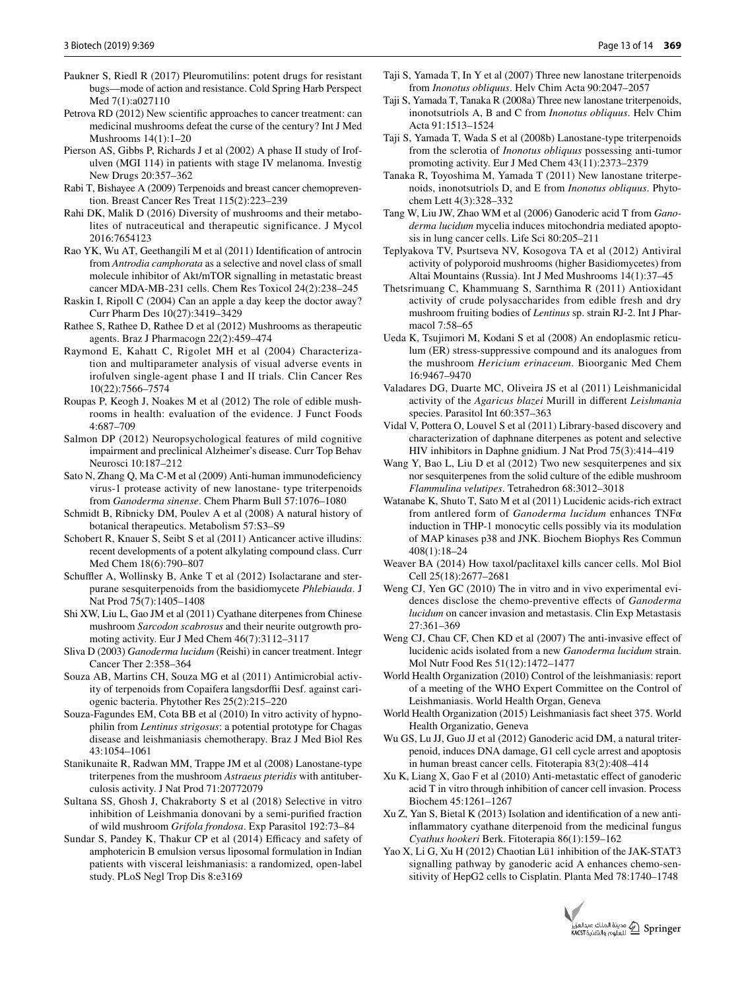- <span id="page-12-8"></span>Paukner S, Riedl R (2017) Pleuromutilins: potent drugs for resistant bugs—mode of action and resistance. Cold Spring Harb Perspect Med 7(1):a027110
- <span id="page-12-25"></span>Petrova RD (2012) New scientific approaches to cancer treatment: can medicinal mushrooms defeat the curse of the century? Int J Med Mushrooms 14(1):1–20
- <span id="page-12-39"></span>Pierson AS, Gibbs P, Richards J et al (2002) A phase II study of Irofulven (MGI 114) in patients with stage IV melanoma. Investig New Drugs 20:357–362
- <span id="page-12-3"></span>Rabi T, Bishayee A (2009) Terpenoids and breast cancer chemoprevention. Breast Cancer Res Treat 115(2):223–239
- <span id="page-12-7"></span>Rahi DK, Malik D (2016) Diversity of mushrooms and their metabolites of nutraceutical and therapeutic significance. J Mycol 2016:7654123
- <span id="page-12-37"></span>Rao YK, Wu AT, Geethangili M et al (2011) Identification of antrocin from *Antrodia camphorata* as a selective and novel class of small molecule inhibitor of Akt/mTOR signalling in metastatic breast cancer MDA-MB-231 cells. Chem Res Toxicol 24(2):238–245
- <span id="page-12-0"></span>Raskin I, Ripoll C (2004) Can an apple a day keep the doctor away? Curr Pharm Des 10(27):3419–3429
- <span id="page-12-6"></span>Rathee S, Rathee D, Rathee D et al (2012) Mushrooms as therapeutic agents. Braz J Pharmacogn 22(2):459–474
- <span id="page-12-40"></span>Raymond E, Kahatt C, Rigolet MH et al (2004) Characterization and multiparameter analysis of visual adverse events in irofulven single-agent phase I and II trials. Clin Cancer Res 10(22):7566–7574
- <span id="page-12-42"></span>Roupas P, Keogh J, Noakes M et al (2012) The role of edible mushrooms in health: evaluation of the evidence. J Funct Foods 4:687–709
- <span id="page-12-22"></span>Salmon DP (2012) Neuropsychological features of mild cognitive impairment and preclinical Alzheimer's disease. Curr Top Behav Neurosci 10:187–212
- <span id="page-12-12"></span>Sato N, Zhang Q, Ma C-M et al (2009) Anti-human immunodeficiency virus-1 protease activity of new lanostane- type triterpenoids from *Ganoderma sinense*. Chem Pharm Bull 57:1076–1080
- <span id="page-12-1"></span>Schmidt B, Ribnicky DM, Poulev A et al (2008) A natural history of botanical therapeutics. Metabolism 57:S3–S9
- <span id="page-12-38"></span>Schobert R, Knauer S, Seibt S et al (2011) Anticancer active illudins: recent developments of a potent alkylating compound class. Curr Med Chem 18(6):790–807
- <span id="page-12-10"></span>Schuffler A, Wollinsky B, Anke T et al (2012) Isolactarane and sterpurane sesquiterpenoids from the basidiomycete *Phlebiauda*. J Nat Prod 75(7):1405–1408
- <span id="page-12-24"></span>Shi XW, Liu L, Gao JM et al (2011) Cyathane diterpenes from Chinese mushroom *Sarcodon scabrosus* and their neurite outgrowth promoting activity. Eur J Med Chem 46(7):3112–3117
- <span id="page-12-27"></span>Sliva D (2003) *Ganoderma lucidum* (Reishi) in cancer treatment. Integr Cancer Ther 2:358–364
- <span id="page-12-2"></span>Souza AB, Martins CH, Souza MG et al (2011) Antimicrobial activity of terpenoids from Copaifera langsdorffii Desf. against cariogenic bacteria. Phytother Res 25(2):215–220
- <span id="page-12-16"></span>Souza-Fagundes EM, Cota BB et al (2010) In vitro activity of hypnophilin from *Lentinus strigosus*: a potential prototype for Chagas disease and leishmaniasis chemotherapy. Braz J Med Biol Res 43:1054–1061
- <span id="page-12-9"></span>Stanikunaite R, Radwan MM, Trappe JM et al (2008) Lanostane-type triterpenes from the mushroom *Astraeus pteridis* with antituberculosis activity. J Nat Prod 71:20772079
- <span id="page-12-18"></span>Sultana SS, Ghosh J, Chakraborty S et al (2018) Selective in vitro inhibition of Leishmania donovani by a semi-purified fraction of wild mushroom *Grifola frondosa*. Exp Parasitol 192:73–84
- <span id="page-12-14"></span>Sundar S, Pandey K, Thakur CP et al (2014) Efficacy and safety of amphotericin B emulsion versus liposomal formulation in Indian patients with visceral leishmaniasis: a randomized, open-label study. PLoS Negl Trop Dis 8:e3169
- <span id="page-12-33"></span>Taji S, Yamada T, In Y et al (2007) Three new lanostane triterpenoids from *Inonotus obliquus*. Helv Chim Acta 90:2047–2057
- <span id="page-12-34"></span>Taji S, Yamada T, Tanaka R (2008a) Three new lanostane triterpenoids, inonotsutriols A, B and C from *Inonotus obliquus*. Helv Chim Acta 91:1513–1524
- <span id="page-12-36"></span>Taji S, Yamada T, Wada S et al (2008b) Lanostane-type triterpenoids from the sclerotia of *Inonotus obliquus* possessing anti-tumor promoting activity. Eur J Med Chem 43(11):2373–2379
- <span id="page-12-35"></span>Tanaka R, Toyoshima M, Yamada T (2011) New lanostane triterpenoids, inonotsutriols D, and E from *Inonotus obliquus*. Phytochem Lett 4(3):328–332
- <span id="page-12-28"></span>Tang W, Liu JW, Zhao WM et al (2006) Ganoderic acid T from *Ganoderma lucidum* mycelia induces mitochondria mediated apoptosis in lung cancer cells. Life Sci 80:205–211
- <span id="page-12-11"></span>Teplyakova TV, Psurtseva NV, Kosogova TA et al (2012) Antiviral activity of polyporoid mushrooms (higher Basidiomycetes) from Altai Mountains (Russia). Int J Med Mushrooms 14(1):37–45
- <span id="page-12-19"></span>Thetsrimuang C, Khammuang S, Sarnthima R (2011) Antioxidant activity of crude polysaccharides from edible fresh and dry mushroom fruiting bodies of *Lentinus* sp. strain RJ-2. Int J Pharmacol 7:58–65
- <span id="page-12-23"></span>Ueda K, Tsujimori M, Kodani S et al (2008) An endoplasmic reticulum (ER) stress-suppressive compound and its analogues from the mushroom *Hericium erinaceum*. Bioorganic Med Chem 16:9467–9470
- <span id="page-12-17"></span>Valadares DG, Duarte MC, Oliveira JS et al (2011) Leishmanicidal activity of the *Agaricus blazei* Murill in different *Leishmania* species. Parasitol Int 60:357–363
- <span id="page-12-5"></span>Vidal V, Pottera O, Louvel S et al (2011) Library-based discovery and characterization of daphnane diterpenes as potent and selective HIV inhibitors in Daphne gnidium. J Nat Prod 75(3):414–419
- <span id="page-12-20"></span>Wang Y, Bao L, Liu D et al (2012) Two new sesquiterpenes and six nor sesquiterpenes from the solid culture of the edible mushroom *Flammulina velutipes*. Tetrahedron 68:3012–3018
- <span id="page-12-32"></span>Watanabe K, Shuto T, Sato M et al (2011) Lucidenic acids-rich extract from antlered form of *Ganoderma lucidum* enhances TNFα induction in THP-1 monocytic cells possibly via its modulation of MAP kinases p38 and JNK. Biochem Biophys Res Commun 408(1):18–24
- <span id="page-12-4"></span>Weaver BA (2014) How taxol/paclitaxel kills cancer cells. Mol Biol Cell 25(18):2677–2681
- <span id="page-12-29"></span>Weng CJ, Yen GC (2010) The in vitro and in vivo experimental evidences disclose the chemo-preventive effects of *Ganoderma lucidum* on cancer invasion and metastasis. Clin Exp Metastasis 27:361–369
- <span id="page-12-31"></span>Weng CJ, Chau CF, Chen KD et al (2007) The anti-invasive effect of lucidenic acids isolated from a new *Ganoderma lucidum* strain. Mol Nutr Food Res 51(12):1472–1477
- <span id="page-12-15"></span>World Health Organization (2010) Control of the leishmaniasis: report of a meeting of the WHO Expert Committee on the Control of Leishmaniasis. World Health Organ, Geneva
- <span id="page-12-13"></span>World Health Organization (2015) Leishmaniasis fact sheet 375. World Health Organizatio, Geneva
- <span id="page-12-26"></span>Wu GS, Lu JJ, Guo JJ et al (2012) Ganoderic acid DM, a natural triterpenoid, induces DNA damage, G1 cell cycle arrest and apoptosis in human breast cancer cells. Fitoterapia 83(2):408–414
- <span id="page-12-30"></span>Xu K, Liang X, Gao F et al (2010) Anti-metastatic effect of ganoderic acid T in vitro through inhibition of cancer cell invasion. Process Biochem 45:1261–1267
- <span id="page-12-21"></span>Xu Z, Yan S, Bietal K (2013) Isolation and identification of a new antiinflammatory cyathane diterpenoid from the medicinal fungus *Cyathus hookeri* Berk. Fitoterapia 86(1):159–162
- <span id="page-12-41"></span>Yao X, Li G, Xu H (2012) Chaotian Lü1 inhibition of the JAK-STAT3 signalling pathway by ganoderic acid A enhances chemo-sensitivity of HepG2 cells to Cisplatin. Planta Med 78:1740–1748

![](_page_12_Picture_45.jpeg)